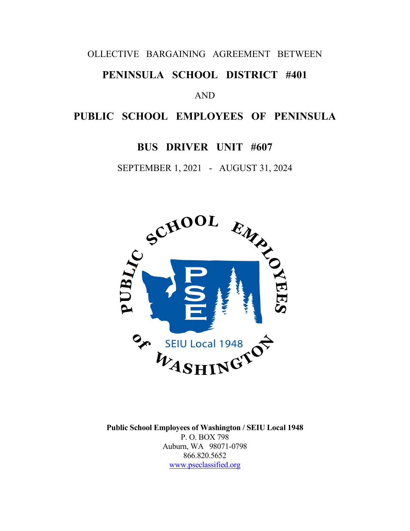#### OLLECTIVE BARGAINING AGREEMENT BETWEEN

# **PENINSULA SCHOOL DISTRICT #401**

#### AND

# **PUBLIC SCHOOL EMPLOYEES OF PENINSULA**

# **BUS DRIVER UNIT #607**

SEPTEMBER 1, 2021 - AUGUST 31, 2024



**Public School Employees of Washington / SEIU Local 1948** P. O. BOX 798 Auburn, WA 98071-0798 866.820.5652 [www.pseclassified.org](http://www.pseclassified.org/)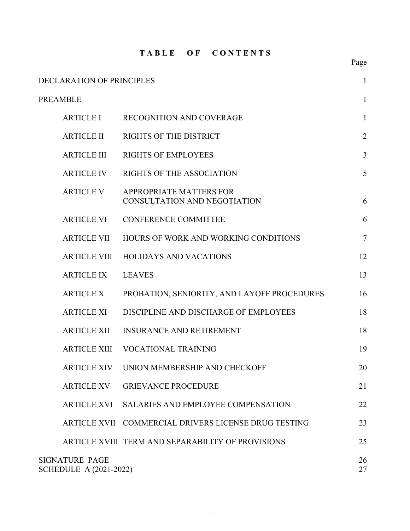#### **T A B L E O F C O N T E N T S**

| <b>DECLARATION OF PRINCIPLES</b>                       |                                                         | $\mathbf{1}$   |
|--------------------------------------------------------|---------------------------------------------------------|----------------|
| <b>PREAMBLE</b>                                        |                                                         | $\mathbf{1}$   |
| <b>ARTICLE I</b>                                       | <b>RECOGNITION AND COVERAGE</b>                         | $\mathbf{1}$   |
| <b>ARTICLE II</b>                                      | RIGHTS OF THE DISTRICT                                  | $\overline{2}$ |
| <b>ARTICLE III</b>                                     | <b>RIGHTS OF EMPLOYEES</b>                              | 3              |
| <b>ARTICLE IV</b>                                      | <b>RIGHTS OF THE ASSOCIATION</b>                        | 5              |
| <b>ARTICLE V</b>                                       | APPROPRIATE MATTERS FOR<br>CONSULTATION AND NEGOTIATION | 6              |
| <b>ARTICLE VI</b>                                      | <b>CONFERENCE COMMITTEE</b>                             | 6              |
| <b>ARTICLE VII</b>                                     | HOURS OF WORK AND WORKING CONDITIONS                    | $\overline{7}$ |
| <b>ARTICLE VIII</b>                                    | <b>HOLIDAYS AND VACATIONS</b>                           | 12             |
| <b>ARTICLE IX</b>                                      | <b>LEAVES</b>                                           | 13             |
| <b>ARTICLE X</b>                                       | PROBATION, SENIORITY, AND LAYOFF PROCEDURES             | 16             |
| <b>ARTICLE XI</b>                                      | DISCIPLINE AND DISCHARGE OF EMPLOYEES                   | 18             |
| <b>ARTICLE XII</b>                                     | <b>INSURANCE AND RETIREMENT</b>                         | 18             |
| <b>ARTICLE XIII</b>                                    | <b>VOCATIONAL TRAINING</b>                              | 19             |
| <b>ARTICLE XIV</b>                                     | UNION MEMBERSHIP AND CHECKOFF                           | 20             |
| ARTICLE XV                                             | <b>GRIEVANCE PROCEDURE</b>                              | 21             |
|                                                        | ARTICLE XVI SALARIES AND EMPLOYEE COMPENSATION          | 22             |
|                                                        | ARTICLE XVII COMMERCIAL DRIVERS LICENSE DRUG TESTING    | 23             |
|                                                        | ARTICLE XVIII TERM AND SEPARABILITY OF PROVISIONS       | 25             |
| <b>SIGNATURE PAGE</b><br><b>SCHEDULE A (2021-2022)</b> |                                                         | 26<br>27       |

 $\sim$  and  $\sim$ 

# Page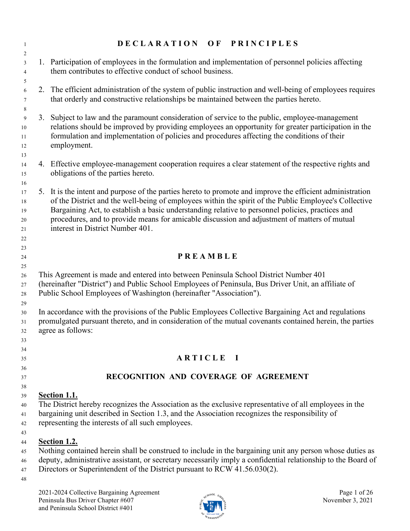| $\mathbf{1}$                         | DECLARATION OF PRINCIPLES                                                                                                                                                                                                                                                                                                                                                                                                                                  |
|--------------------------------------|------------------------------------------------------------------------------------------------------------------------------------------------------------------------------------------------------------------------------------------------------------------------------------------------------------------------------------------------------------------------------------------------------------------------------------------------------------|
| 2<br>3<br>$\overline{4}$<br>5        | 1. Participation of employees in the formulation and implementation of personnel policies affecting<br>them contributes to effective conduct of school business.                                                                                                                                                                                                                                                                                           |
| 6<br>$\tau$<br>8                     | 2. The efficient administration of the system of public instruction and well-being of employees requires<br>that orderly and constructive relationships be maintained between the parties hereto.                                                                                                                                                                                                                                                          |
| 9<br>10<br>11<br>12<br>13            | 3. Subject to law and the paramount consideration of service to the public, employee-management<br>relations should be improved by providing employees an opportunity for greater participation in the<br>formulation and implementation of policies and procedures affecting the conditions of their<br>employment.                                                                                                                                       |
| 14<br>15<br>16                       | 4. Effective employee-management cooperation requires a clear statement of the respective rights and<br>obligations of the parties hereto.                                                                                                                                                                                                                                                                                                                 |
| 17<br>$18\,$<br>19<br>20<br>21<br>22 | 5. It is the intent and purpose of the parties hereto to promote and improve the efficient administration<br>of the District and the well-being of employees within the spirit of the Public Employee's Collective<br>Bargaining Act, to establish a basic understanding relative to personnel policies, practices and<br>procedures, and to provide means for amicable discussion and adjustment of matters of mutual<br>interest in District Number 401. |
| 23                                   |                                                                                                                                                                                                                                                                                                                                                                                                                                                            |
| 24<br>25                             | PREAMBLE                                                                                                                                                                                                                                                                                                                                                                                                                                                   |
| 26<br>27<br>28                       | This Agreement is made and entered into between Peninsula School District Number 401<br>(hereinafter "District") and Public School Employees of Peninsula, Bus Driver Unit, an affiliate of<br>Public School Employees of Washington (hereinafter "Association").                                                                                                                                                                                          |
| 29<br>30<br>31<br>32<br>33           | In accordance with the provisions of the Public Employees Collective Bargaining Act and regulations<br>promulgated pursuant thereto, and in consideration of the mutual covenants contained herein, the parties<br>agree as follows:                                                                                                                                                                                                                       |
| 34                                   |                                                                                                                                                                                                                                                                                                                                                                                                                                                            |
| 35<br>36                             | ARTICLE I                                                                                                                                                                                                                                                                                                                                                                                                                                                  |
| 37                                   | RECOGNITION AND COVERAGE OF AGREEMENT                                                                                                                                                                                                                                                                                                                                                                                                                      |
| 38                                   |                                                                                                                                                                                                                                                                                                                                                                                                                                                            |
| 39                                   | <b>Section 1.1.</b>                                                                                                                                                                                                                                                                                                                                                                                                                                        |
| 40<br>41<br>42                       | The District hereby recognizes the Association as the exclusive representative of all employees in the<br>bargaining unit described in Section 1.3, and the Association recognizes the responsibility of<br>representing the interests of all such employees.                                                                                                                                                                                              |
| 43<br>44<br>45<br>46<br>47<br>48     | <b>Section 1.2.</b><br>Nothing contained herein shall be construed to include in the bargaining unit any person whose duties as<br>deputy, administrative assistant, or secretary necessarily imply a confidential relationship to the Board of<br>Directors or Superintendent of the District pursuant to RCW 41.56.030(2).                                                                                                                               |
|                                      |                                                                                                                                                                                                                                                                                                                                                                                                                                                            |

2021-2024 Collective Bargaining Agreement Page 1 of 26 Peninsula Bus Driver Chapter #607  $\frac{1}{2}$  November 3, 2021 and Peninsula School District #401

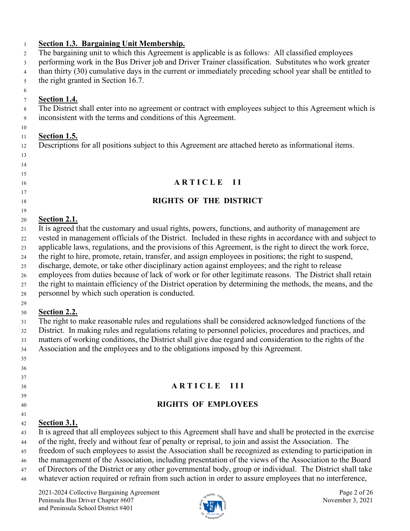#### **Section 1.3. Bargaining Unit Membership.**

The bargaining unit to which this Agreement is applicable is as follows: All classified employees

performing work in the Bus Driver job and Driver Trainer classification. Substitutes who work greater

than thirty (30) cumulative days in the current or immediately preceding school year shall be entitled to

the right granted in Section 16.7.

## **Section 1.4.**

 

 The District shall enter into no agreement or contract with employees subject to this Agreement which is inconsistent with the terms and conditions of this Agreement.

## **Section 1.5.**

Descriptions for all positions subject to this Agreement are attached hereto as informational items.

# **A R T I C L E I I**

# **RIGHTS OF THE DISTRICT**

## **Section 2.1.**

It is agreed that the customary and usual rights, powers, functions, and authority of management are

vested in management officials of the District. Included in these rights in accordance with and subject to

 applicable laws, regulations, and the provisions of this Agreement, is the right to direct the work force, the right to hire, promote, retain, transfer, and assign employees in positions; the right to suspend,

discharge, demote, or take other disciplinary action against employees; and the right to release

employees from duties because of lack of work or for other legitimate reasons. The District shall retain

the right to maintain efficiency of the District operation by determining the methods, the means, and the

personnel by which such operation is conducted.

#### 

 

## **Section 2.2.**

 The right to make reasonable rules and regulations shall be considered acknowledged functions of the District. In making rules and regulations relating to personnel policies, procedures and practices, and matters of working conditions, the District shall give due regard and consideration to the rights of the Association and the employees and to the obligations imposed by this Agreement.

## **A R T I C L E I I I**

# **RIGHTS OF EMPLOYEES**

# **Section 3.1.**

It is agreed that all employees subject to this Agreement shall have and shall be protected in the exercise

of the right, freely and without fear of penalty or reprisal, to join and assist the Association. The

freedom of such employees to assist the Association shall be recognized as extending to participation in

the management of the Association, including presentation of the views of the Association to the Board

- of Directors of the District or any other governmental body, group or individual. The District shall take
- whatever action required or refrain from such action in order to assure employees that no interference,

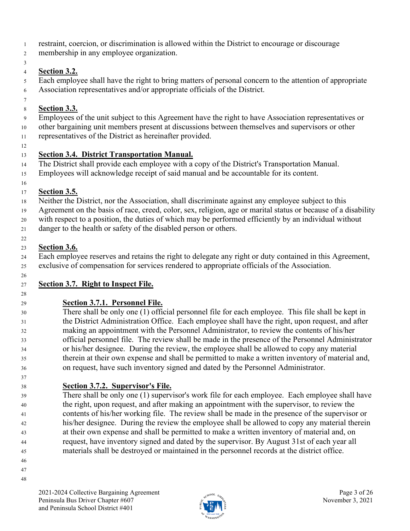- restraint, coercion, or discrimination is allowed within the District to encourage or discourage
- membership in any employee organization.
- 

# **Section 3.2.**

 Each employee shall have the right to bring matters of personal concern to the attention of appropriate Association representatives and/or appropriate officials of the District.

# **Section 3.3.**

Employees of the unit subject to this Agreement have the right to have Association representatives or

 other bargaining unit members present at discussions between themselves and supervisors or other representatives of the District as hereinafter provided.

# **Section 3.4. District Transportation Manual.**

The District shall provide each employee with a copy of the District's Transportation Manual.

Employees will acknowledge receipt of said manual and be accountable for its content.

# **Section 3.5.**

Neither the District, nor the Association, shall discriminate against any employee subject to this

Agreement on the basis of race, creed, color, sex, religion, age or marital status or because of a disability

with respect to a position, the duties of which may be performed efficiently by an individual without

danger to the health or safety of the disabled person or others.

# **Section 3.6.**

 Each employee reserves and retains the right to delegate any right or duty contained in this Agreement, exclusive of compensation for services rendered to appropriate officials of the Association.

#### **Section 3.7. Right to Inspect File.**

# **Section 3.7.1. Personnel File.**

 There shall be only one (1) official personnel file for each employee. This file shall be kept in the District Administration Office. Each employee shall have the right, upon request, and after making an appointment with the Personnel Administrator, to review the contents of his/her official personnel file. The review shall be made in the presence of the Personnel Administrator or his/her designee. During the review, the employee shall be allowed to copy any material therein at their own expense and shall be permitted to make a written inventory of material and, on request, have such inventory signed and dated by the Personnel Administrator.

# **Section 3.7.2. Supervisor's File.**

 There shall be only one (1) supervisor's work file for each employee. Each employee shall have the right, upon request, and after making an appointment with the supervisor, to review the contents of his/her working file. The review shall be made in the presence of the supervisor or his/her designee. During the review the employee shall be allowed to copy any material therein at their own expense and shall be permitted to make a written inventory of material and, on request, have inventory signed and dated by the supervisor. By August 31st of each year all materials shall be destroyed or maintained in the personnel records at the district office.

- 
- 

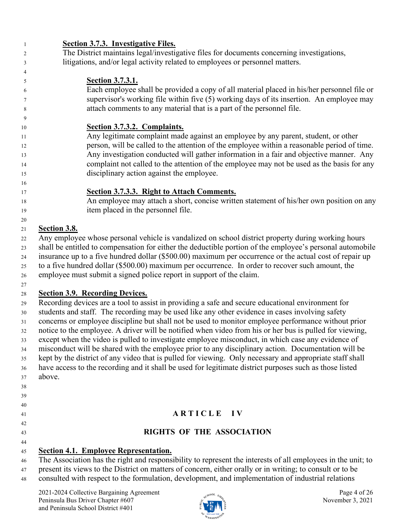| 1  | <b>Section 3.7.3. Investigative Files.</b>                                                                         |  |
|----|--------------------------------------------------------------------------------------------------------------------|--|
| 2  | The District maintains legal/investigative files for documents concerning investigations,                          |  |
| 3  | litigations, and/or legal activity related to employees or personnel matters.                                      |  |
| 4  |                                                                                                                    |  |
| 5  | <b>Section 3.7.3.1.</b>                                                                                            |  |
| 6  | Each employee shall be provided a copy of all material placed in his/her personnel file or                         |  |
| 7  | supervisor's working file within five (5) working days of its insertion. An employee may                           |  |
| 8  | attach comments to any material that is a part of the personnel file.                                              |  |
| 9  |                                                                                                                    |  |
| 10 | Section 3.7.3.2. Complaints.                                                                                       |  |
| 11 | Any legitimate complaint made against an employee by any parent, student, or other                                 |  |
| 12 | person, will be called to the attention of the employee within a reasonable period of time.                        |  |
| 13 | Any investigation conducted will gather information in a fair and objective manner. Any                            |  |
| 14 | complaint not called to the attention of the employee may not be used as the basis for any                         |  |
| 15 | disciplinary action against the employee.                                                                          |  |
| 16 |                                                                                                                    |  |
| 17 | Section 3.7.3.3. Right to Attach Comments.                                                                         |  |
| 18 | An employee may attach a short, concise written statement of his/her own position on any                           |  |
| 19 | item placed in the personnel file.                                                                                 |  |
| 20 |                                                                                                                    |  |
| 21 | Section 3.8.                                                                                                       |  |
| 22 | Any employee whose personal vehicle is vandalized on school district property during working hours                 |  |
| 23 | shall be entitled to compensation for either the deductible portion of the employee's personal automobile          |  |
| 24 | insurance up to a five hundred dollar (\$500.00) maximum per occurrence or the actual cost of repair up            |  |
| 25 | to a five hundred dollar (\$500.00) maximum per occurrence. In order to recover such amount, the                   |  |
| 26 | employee must submit a signed police report in support of the claim.                                               |  |
| 27 |                                                                                                                    |  |
| 28 | <b>Section 3.9. Recording Devices.</b>                                                                             |  |
| 29 | Recording devices are a tool to assist in providing a safe and secure educational environment for                  |  |
| 30 | students and staff. The recording may be used like any other evidence in cases involving safety                    |  |
| 31 | concerns or employee discipline but shall not be used to monitor employee performance without prior                |  |
| 32 | notice to the employee. A driver will be notified when video from his or her bus is pulled for viewing,            |  |
| 33 | except when the video is pulled to investigate employee misconduct, in which case any evidence of                  |  |
| 34 | misconduct will be shared with the employee prior to any disciplinary action. Documentation will be                |  |
| 35 | kept by the district of any video that is pulled for viewing. Only necessary and appropriate staff shall           |  |
| 36 | have access to the recording and it shall be used for legitimate district purposes such as those listed            |  |
| 37 | above.                                                                                                             |  |
| 38 |                                                                                                                    |  |
| 39 |                                                                                                                    |  |
| 40 |                                                                                                                    |  |
| 41 | ARTICLE IV                                                                                                         |  |
| 42 |                                                                                                                    |  |
| 43 | <b>RIGHTS OF THE ASSOCIATION</b>                                                                                   |  |
| 44 |                                                                                                                    |  |
| 45 | <b>Section 4.1. Employee Representation.</b>                                                                       |  |
| 46 | The Association has the right and responsibility to represent the interests of all employees in the unit; to       |  |
| 47 | present its views to the District on matters of concern, either orally or in writing; to consult or to be          |  |
| 48 | consulted with respect to the formulation, development, and implementation of industrial relations                 |  |
|    |                                                                                                                    |  |
|    | 2021-2024 Collective Bargaining Agreement<br>Page 4 of 26<br>Peninsula Bus Driver Chapter #607<br>November 3, 2021 |  |

and Peninsula School District #401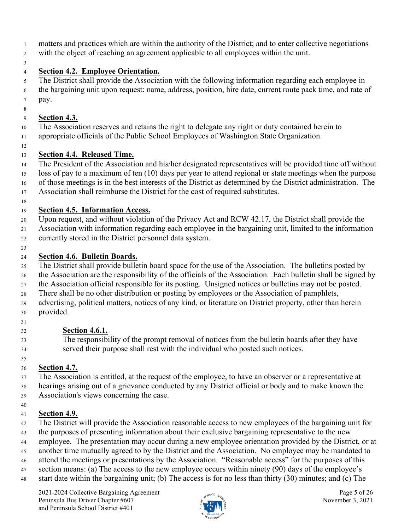- matters and practices which are within the authority of the District; and to enter collective negotiations
- with the object of reaching an agreement applicable to all employees within the unit.
- 

#### **Section 4.2. Employee Orientation.**

 The District shall provide the Association with the following information regarding each employee in the bargaining unit upon request: name, address, position, hire date, current route pack time, and rate of pay.

#### **Section 4.3.**

The Association reserves and retains the right to delegate any right or duty contained herein to

- appropriate officials of the Public School Employees of Washington State Organization.
- 

# **Section 4.4. Released Time.**

The President of the Association and his/her designated representatives will be provided time off without

loss of pay to a maximum of ten (10) days per year to attend regional or state meetings when the purpose

of those meetings is in the best interests of the District as determined by the District administration. The

Association shall reimburse the District for the cost of required substitutes.

# **Section 4.5. Information Access.**

Upon request, and without violation of the Privacy Act and RCW 42.17, the District shall provide the

Association with information regarding each employee in the bargaining unit, limited to the information

- currently stored in the District personnel data system.
- 

# **Section 4.6. Bulletin Boards.**

The District shall provide bulletin board space for the use of the Association. The bulletins posted by

- the Association are the responsibility of the officials of the Association. Each bulletin shall be signed by
- the Association official responsible for its posting. Unsigned notices or bulletins may not be posted.
- There shall be no other distribution or posting by employees or the Association of pamphlets, advertising, political matters, notices of any kind, or literature on District property, other than herein
- provided.
- 

# **Section 4.6.1.**

 The responsibility of the prompt removal of notices from the bulletin boards after they have served their purpose shall rest with the individual who posted such notices.

#### **Section 4.7.**

 The Association is entitled, at the request of the employee, to have an observer or a representative at hearings arising out of a grievance conducted by any District official or body and to make known the Association's views concerning the case.

# **Section 4.9.**

- The District will provide the Association reasonable access to new employees of the bargaining unit for
- the purposes of presenting information about their exclusive bargaining representative to the new
- employee. The presentation may occur during a new employee orientation provided by the District, or at
- another time mutually agreed to by the District and the Association. No employee may be mandated to
- attend the meetings or presentations by the Association. "Reasonable access" for the purposes of this
- section means: (a) The access to the new employee occurs within ninety (90) days of the employee's
- start date within the bargaining unit; (b) The access is for no less than thirty (30) minutes; and (c) The

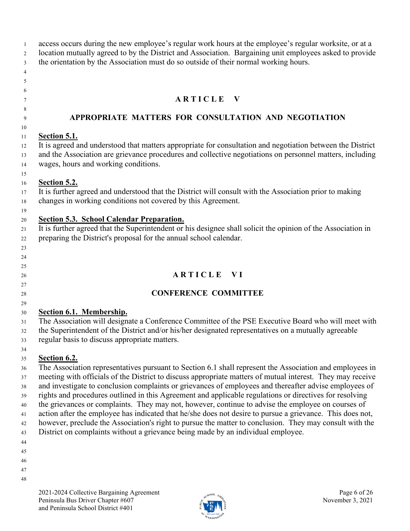access occurs during the new employee's regular work hours at the employee's regular worksite, or at a location mutually agreed to by the District and Association. Bargaining unit employees asked to provide the orientation by the Association must do so outside of their normal working hours.

<sup>7</sup> **ARTICLE V** 

#### **APPROPRIATE MATTERS FOR CONSULTATION AND NEGOTIATION**

## **Section 5.1.**

 It is agreed and understood that matters appropriate for consultation and negotiation between the District and the Association are grievance procedures and collective negotiations on personnel matters, including wages, hours and working conditions.

#### **Section 5.2.**

 It is further agreed and understood that the District will consult with the Association prior to making changes in working conditions not covered by this Agreement.

 

#### **Section 5.3. School Calendar Preparation.**

21 It is further agreed that the Superintendent or his designee shall solicit the opinion of the Association in preparing the District's proposal for the annual school calendar.

 

# **A R T I C L E V I**

# **CONFERENCE COMMITTEE**

#### **Section 6.1. Membership.**

 The Association will designate a Conference Committee of the PSE Executive Board who will meet with the Superintendent of the District and/or his/her designated representatives on a mutually agreeable regular basis to discuss appropriate matters.

## **Section 6.2.**

 The Association representatives pursuant to Section 6.1 shall represent the Association and employees in meeting with officials of the District to discuss appropriate matters of mutual interest. They may receive and investigate to conclusion complaints or grievances of employees and thereafter advise employees of rights and procedures outlined in this Agreement and applicable regulations or directives for resolving the grievances or complaints. They may not, however, continue to advise the employee on courses of action after the employee has indicated that he/she does not desire to pursue a grievance. This does not, however, preclude the Association's right to pursue the matter to conclusion. They may consult with the District on complaints without a grievance being made by an individual employee.

- 
- 
- 
- 
- 

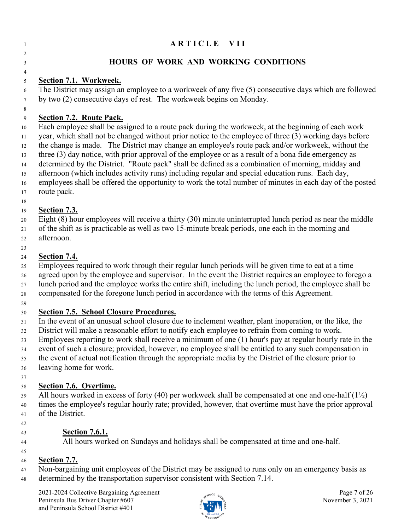## **ARTICLE VII**

#### **HOURS OF WORK AND WORKING CONDITIONS**

#### **Section 7.1. Workweek.**

 The District may assign an employee to a workweek of any five (5) consecutive days which are followed by two (2) consecutive days of rest. The workweek begins on Monday.

#### **Section 7.2. Route Pack.**

 Each employee shall be assigned to a route pack during the workweek, at the beginning of each work year, which shall not be changed without prior notice to the employee of three (3) working days before the change is made. The District may change an employee's route pack and/or workweek, without the three (3) day notice, with prior approval of the employee or as a result of a bona fide emergency as determined by the District. "Route pack" shall be defined as a combination of morning, midday and afternoon (which includes activity runs) including regular and special education runs. Each day, employees shall be offered the opportunity to work the total number of minutes in each day of the posted route pack.

#### **Section 7.3.**

Eight (8) hour employees will receive a thirty (30) minute uninterrupted lunch period as near the middle

 of the shift as is practicable as well as two 15-minute break periods, one each in the morning and afternoon.

#### **Section 7.4.**

Employees required to work through their regular lunch periods will be given time to eat at a time

 agreed upon by the employee and supervisor. In the event the District requires an employee to forego a lunch period and the employee works the entire shift, including the lunch period, the employee shall be

compensated for the foregone lunch period in accordance with the terms of this Agreement.

#### **Section 7.5. School Closure Procedures.**

In the event of an unusual school closure due to inclement weather, plant inoperation, or the like, the

District will make a reasonable effort to notify each employee to refrain from coming to work.

Employees reporting to work shall receive a minimum of one (1) hour's pay at regular hourly rate in the

event of such a closure; provided, however, no employee shall be entitled to any such compensation in

the event of actual notification through the appropriate media by the District of the closure prior to

leaving home for work.

#### **Section 7.6. Overtime.**

39 All hours worked in excess of forty (40) per workweek shall be compensated at one and one-half ( $1\frac{1}{2}$ ) times the employee's regular hourly rate; provided, however, that overtime must have the prior approval of the District.

## **Section 7.6.1.**

All hours worked on Sundays and holidays shall be compensated at time and one-half.

#### **Section 7.7.**

 Non-bargaining unit employees of the District may be assigned to runs only on an emergency basis as determined by the transportation supervisor consistent with Section 7.14.

2021-2024 Collective Bargaining Agreement Page 7 of 26<br>
Peninsula Bus Driver Chapter #607 Server Server Page 7 of 26 Peninsula Bus Driver Chapter #607 and Peninsula School District #401

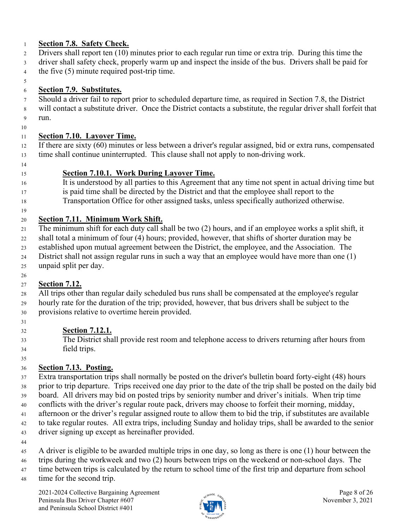## **Section 7.8. Safety Check.**

- Drivers shall report ten (10) minutes prior to each regular run time or extra trip. During this time the
- driver shall safety check, properly warm up and inspect the inside of the bus. Drivers shall be paid for the five (5) minute required post-trip time.
- 

# **Section 7.9. Substitutes.**

Should a driver fail to report prior to scheduled departure time, as required in Section 7.8, the District

 will contact a substitute driver. Once the District contacts a substitute, the regular driver shall forfeit that run.

# **Section 7.10. Layover Time.**

 If there are sixty (60) minutes or less between a driver's regular assigned, bid or extra runs, compensated time shall continue uninterrupted. This clause shall not apply to non-driving work.

## **Section 7.10.1. Work During Layover Time.**

- It is understood by all parties to this Agreement that any time not spent in actual driving time but is paid time shall be directed by the District and that the employee shall report to the
- Transportation Office for other assigned tasks, unless specifically authorized otherwise.

# **Section 7.11. Minimum Work Shift.**

 The minimum shift for each duty call shall be two (2) hours, and if an employee works a split shift, it shall total a minimum of four (4) hours; provided, however, that shifts of shorter duration may be

- established upon mutual agreement between the District, the employee, and the Association. The
- District shall not assign regular runs in such a way that an employee would have more than one (1)
- unpaid split per day.

#### **Section 7.12.**

 All trips other than regular daily scheduled bus runs shall be compensated at the employee's regular hourly rate for the duration of the trip; provided, however, that bus drivers shall be subject to the provisions relative to overtime herein provided.

## **Section 7.12.1.**

 The District shall provide rest room and telephone access to drivers returning after hours from field trips.

# **Section 7.13. Posting.**

 Extra transportation trips shall normally be posted on the driver's bulletin board forty-eight (48) hours prior to trip departure. Trips received one day prior to the date of the trip shall be posted on the daily bid board. All drivers may bid on posted trips by seniority number and driver's initials. When trip time conflicts with the driver's regular route pack, drivers may choose to forfeit their morning, midday, afternoon or the driver's regular assigned route to allow them to bid the trip, if substitutes are available to take regular routes. All extra trips, including Sunday and holiday trips, shall be awarded to the senior driver signing up except as hereinafter provided.

- 
- A driver is eligible to be awarded multiple trips in one day, so long as there is one (1) hour between the
- trips during the workweek and two (2) hours between trips on the weekend or non-school days. The
- 47 time between trips is calculated by the return to school time of the first trip and departure from school
- time for the second trip.

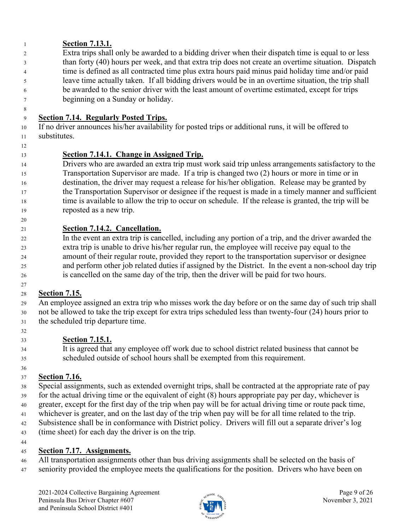# **Section 7.13.1.**

 Extra trips shall only be awarded to a bidding driver when their dispatch time is equal to or less than forty (40) hours per week, and that extra trip does not create an overtime situation. Dispatch time is defined as all contracted time plus extra hours paid minus paid holiday time and/or paid leave time actually taken. If all bidding drivers would be in an overtime situation, the trip shall be awarded to the senior driver with the least amount of overtime estimated, except for trips beginning on a Sunday or holiday.

# **Section 7.14. Regularly Posted Trips.**

 If no driver announces his/her availability for posted trips or additional runs, it will be offered to substitutes.

# **Section 7.14.1. Change in Assigned Trip.**

 Drivers who are awarded an extra trip must work said trip unless arrangements satisfactory to the Transportation Supervisor are made. If a trip is changed two (2) hours or more in time or in destination, the driver may request a release for his/her obligation. Release may be granted by the Transportation Supervisor or designee if the request is made in a timely manner and sufficient time is available to allow the trip to occur on schedule. If the release is granted, the trip will be reposted as a new trip.

# **Section 7.14.2. Cancellation.**

 In the event an extra trip is cancelled, including any portion of a trip, and the driver awarded the extra trip is unable to drive his/her regular run, the employee will receive pay equal to the amount of their regular route, provided they report to the transportation supervisor or designee and perform other job related duties if assigned by the District. In the event a non-school day trip is cancelled on the same day of the trip, then the driver will be paid for two hours.

#### **Section 7.15.**

 An employee assigned an extra trip who misses work the day before or on the same day of such trip shall not be allowed to take the trip except for extra trips scheduled less than twenty-four (24) hours prior to the scheduled trip departure time.

## **Section 7.15.1.**

 It is agreed that any employee off work due to school district related business that cannot be scheduled outside of school hours shall be exempted from this requirement.

#### **Section 7.16.**

 Special assignments, such as extended overnight trips, shall be contracted at the appropriate rate of pay for the actual driving time or the equivalent of eight (8) hours appropriate pay per day, whichever is

greater, except for the first day of the trip when pay will be for actual driving time or route pack time,

whichever is greater, and on the last day of the trip when pay will be for all time related to the trip.

Subsistence shall be in conformance with District policy. Drivers will fill out a separate driver's log

(time sheet) for each day the driver is on the trip.

#### **Section 7.17. Assignments.**

 All transportation assignments other than bus driving assignments shall be selected on the basis of seniority provided the employee meets the qualifications for the position. Drivers who have been on

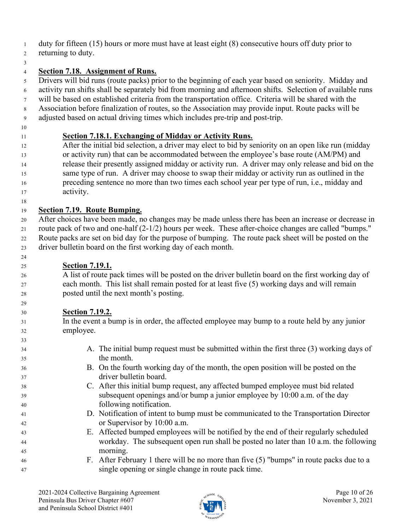- duty for fifteen (15) hours or more must have at least eight (8) consecutive hours off duty prior to
- returning to duty.
- 

# **Section 7.18. Assignment of Runs.**

 Drivers will bid runs (route packs) prior to the beginning of each year based on seniority. Midday and activity run shifts shall be separately bid from morning and afternoon shifts. Selection of available runs

- will be based on established criteria from the transportation office. Criteria will be shared with the
- Association before finalization of routes, so the Association may provide input. Route packs will be
- adjusted based on actual driving times which includes pre-trip and post-trip.
- 

# **Section 7.18.1. Exchanging of Midday or Activity Runs.**

 After the initial bid selection, a driver may elect to bid by seniority on an open like run (midday or activity run) that can be accommodated between the employee's base route (AM/PM) and release their presently assigned midday or activity run. A driver may only release and bid on the same type of run. A driver may choose to swap their midday or activity run as outlined in the preceding sentence no more than two times each school year per type of run, i.e., midday and activity.

# **Section 7.19. Route Bumping.**

 After choices have been made, no changes may be made unless there has been an increase or decrease in route pack of two and one-half (2-1/2) hours per week. These after-choice changes are called "bumps." Route packs are set on bid day for the purpose of bumping. The route pack sheet will be posted on the driver bulletin board on the first working day of each month.

# **Section 7.19.1.**

 A list of route pack times will be posted on the driver bulletin board on the first working day of each month. This list shall remain posted for at least five (5) working days and will remain posted until the next month's posting.

# **Section 7.19.2.**

 In the event a bump is in order, the affected employee may bump to a route held by any junior employee.

 A. The initial bump request must be submitted within the first three (3) working days of the month. B. On the fourth working day of the month, the open position will be posted on the driver bulletin board. C. After this initial bump request, any affected bumped employee must bid related subsequent openings and/or bump a junior employee by 10:00 a.m. of the day following notification. D. Notification of intent to bump must be communicated to the Transportation Director or Supervisor by 10:00 a.m. E. Affected bumped employees will be notified by the end of their regularly scheduled workday. The subsequent open run shall be posted no later than 10 a.m. the following morning. F. After February 1 there will be no more than five (5) "bumps" in route packs due to a single opening or single change in route pack time.

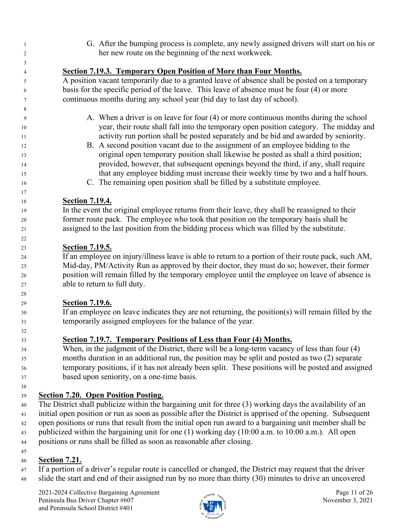G. After the bumping process is complete, any newly assigned drivers will start on his or her new route on the beginning of the next workweek.

| 4        | <b>Section 7.19.3. Temporary Open Position of More than Four Months.</b>                                   |
|----------|------------------------------------------------------------------------------------------------------------|
|          |                                                                                                            |
| 5        | A position vacant temporarily due to a granted leave of absence shall be posted on a temporary             |
| 6        | basis for the specific period of the leave. This leave of absence must be four (4) or more                 |
| 7        | continuous months during any school year (bid day to last day of school).                                  |
| 8        |                                                                                                            |
| 9        | A. When a driver is on leave for four (4) or more continuous months during the school                      |
| 10       | year, their route shall fall into the temporary open position category. The midday and                     |
| 11       | activity run portion shall be posted separately and be bid and awarded by seniority.                       |
| 12       | B. A second position vacant due to the assignment of an employee bidding to the                            |
| 13       | original open temporary position shall likewise be posted as shall a third position;                       |
| 14       | provided, however, that subsequent openings beyond the third, if any, shall require                        |
| 15       | that any employee bidding must increase their weekly time by two and a half hours.                         |
| 16       | C. The remaining open position shall be filled by a substitute employee.                                   |
| 17       |                                                                                                            |
| 18       | <b>Section 7.19.4.</b>                                                                                     |
| 19       | In the event the original employee returns from their leave, they shall be reassigned to their             |
| 20       | former route pack. The employee who took that position on the temporary basis shall be                     |
| 21       | assigned to the last position from the bidding process which was filled by the substitute.                 |
| 22       |                                                                                                            |
| 23       | <b>Section 7.19.5.</b>                                                                                     |
| 24       | If an employee on injury/illness leave is able to return to a portion of their route pack, such AM,        |
| 25       | Mid-day, PM/Activity Run as approved by their doctor, they must do so; however, their former               |
| 26       | position will remain filled by the temporary employee until the employee on leave of absence is            |
| 27       | able to return to full duty.                                                                               |
| 28       |                                                                                                            |
| 29       | <b>Section 7.19.6.</b>                                                                                     |
| 30       | If an employee on leave indicates they are not returning, the position(s) will remain filled by the        |
| 31       | temporarily assigned employees for the balance of the year.                                                |
| 32       | Section 7.19.7. Temporary Positions of Less than Four (4) Months.                                          |
| 33<br>34 | When, in the judgment of the District, there will be a long-term vacancy of less than four (4)             |
| 35       | months duration in an additional run, the position may be split and posted as two (2) separate             |
| 36       | temporary positions, if it has not already been split. These positions will be posted and assigned         |
| 37       | based upon seniority, on a one-time basis.                                                                 |
| 38       |                                                                                                            |
| 39       | <b>Section 7.20. Open Position Posting.</b>                                                                |
| 40       | The District shall publicize within the bargaining unit for three (3) working days the availability of an  |
| 41       | initial open position or run as soon as possible after the District is apprised of the opening. Subsequent |
| 42       | open positions or runs that result from the initial open run award to a bargaining unit member shall be    |
| 43       | publicized within the bargaining unit for one (1) working day (10:00 a.m. to 10:00 a.m.). All open         |
| $44\,$   | positions or runs shall be filled as soon as reasonable after closing.                                     |

#### **Section 7.21.**

 If a portion of a driver's regular route is cancelled or changed, the District may request that the driver slide the start and end of their assigned run by no more than thirty (30) minutes to drive an uncovered

2021-2024 Collective Bargaining Agreement Page 11 of 26<br>
Peninsula Bus Driver Chapter #607 <br>
Page 11 of 26 Peninsula Bus Driver Chapter #607 and Peninsula School District #401

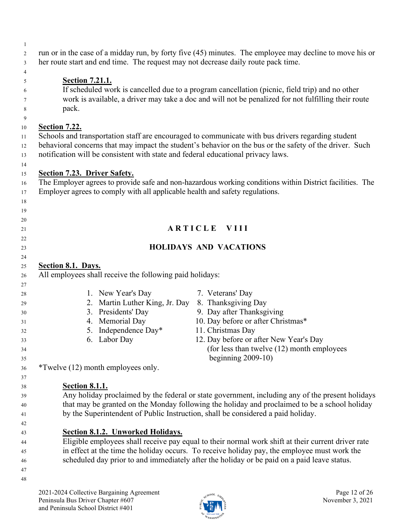| 2               | run or in the case of a midday run, by forty five (45) minutes. The employee may decline to move his or |
|-----------------|---------------------------------------------------------------------------------------------------------|
| 3               | her route start and end time. The request may not decrease daily route pack time.                       |
| $\overline{4}$  |                                                                                                         |
| - 5             | <b>Section 7.21.1.</b>                                                                                  |
| 6               | If scheduled work is cancelled due to a program cancellation (picnic, field trip) and no other          |
| $7\phantom{.0}$ | work is available, a driver may take a doc and will not be penalized for not fulfilling their route     |
| 8               | pack.                                                                                                   |
| $\mathbf{Q}$    |                                                                                                         |
| 10              | Section 7.22.                                                                                           |
| 11              | Schools and transportation staff are encouraged to communicate with bus drivers regarding student       |

- behavioral concerns that may impact the student's behavior on the bus or the safety of the driver. Such notification will be consistent with state and federal educational privacy laws.
- **Section 7.23. Driver Safety.** The Employer agrees to provide safe and non-hazardous working conditions within District facilities. The 17 Employer agrees to comply with all applicable health and safety regulations. **A R T I C L E V I I I HOLIDAYS AND VACATIONS Section 8.1. Days.** All employees shall receive the following paid holidays: 1. New Year's Day 7. Veterans' Day 2. Martin Luther King, Jr. Day 8. Thanksgiving Day 3. Presidents' Day 9. Day after Thanksgiving 4. Memorial Day 10. Day before or after Christmas\* 5. Independence Day\* 11. Christmas Day 6. Labor Day 12. Day before or after New Year's Day (for less than twelve (12) month employees 35 beginning 2009-10) \*Twelve (12) month employees only. **Section 8.1.1.** Any holiday proclaimed by the federal or state government, including any of the present holidays that may be granted on the Monday following the holiday and proclaimed to be a school holiday by the Superintendent of Public Instruction, shall be considered a paid holiday. **Section 8.1.2. Unworked Holidays.**
- Eligible employees shall receive pay equal to their normal work shift at their current driver rate in effect at the time the holiday occurs. To receive holiday pay, the employee must work the scheduled day prior to and immediately after the holiday or be paid on a paid leave status.
- 

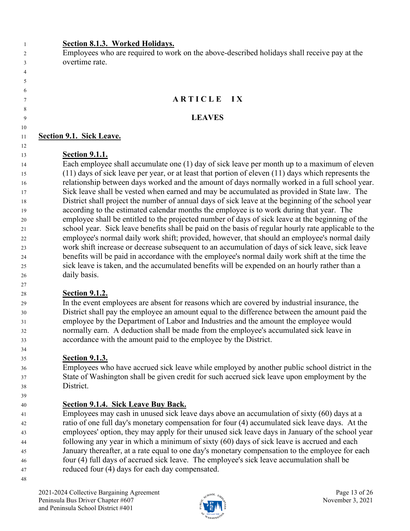#### **Section 8.1.3. Worked Holidays.**

 Employees who are required to work on the above-described holidays shall receive pay at the overtime rate.

## **A R T I C L E I X**

#### **LEAVES**

#### **Section 9.1. Sick Leave.**

 

# **Section 9.1.1.**

 Each employee shall accumulate one (1) day of sick leave per month up to a maximum of eleven (11) days of sick leave per year, or at least that portion of eleven (11) days which represents the relationship between days worked and the amount of days normally worked in a full school year. Sick leave shall be vested when earned and may be accumulated as provided in State law. The District shall project the number of annual days of sick leave at the beginning of the school year according to the estimated calendar months the employee is to work during that year. The employee shall be entitled to the projected number of days of sick leave at the beginning of the school year. Sick leave benefits shall be paid on the basis of regular hourly rate applicable to the employee's normal daily work shift; provided, however, that should an employee's normal daily work shift increase or decrease subsequent to an accumulation of days of sick leave, sick leave benefits will be paid in accordance with the employee's normal daily work shift at the time the sick leave is taken, and the accumulated benefits will be expended on an hourly rather than a daily basis.

# **Section 9.1.2.**

 In the event employees are absent for reasons which are covered by industrial insurance, the District shall pay the employee an amount equal to the difference between the amount paid the employee by the Department of Labor and Industries and the amount the employee would normally earn. A deduction shall be made from the employee's accumulated sick leave in accordance with the amount paid to the employee by the District.

# **Section 9.1.3.**

 Employees who have accrued sick leave while employed by another public school district in the State of Washington shall be given credit for such accrued sick leave upon employment by the District.

# **Section 9.1.4. Sick Leave Buy Back.**

 Employees may cash in unused sick leave days above an accumulation of sixty (60) days at a ratio of one full day's monetary compensation for four (4) accumulated sick leave days. At the employees' option, they may apply for their unused sick leave days in January of the school year following any year in which a minimum of sixty (60) days of sick leave is accrued and each January thereafter, at a rate equal to one day's monetary compensation to the employee for each four (4) full days of accrued sick leave. The employee's sick leave accumulation shall be reduced four (4) days for each day compensated.

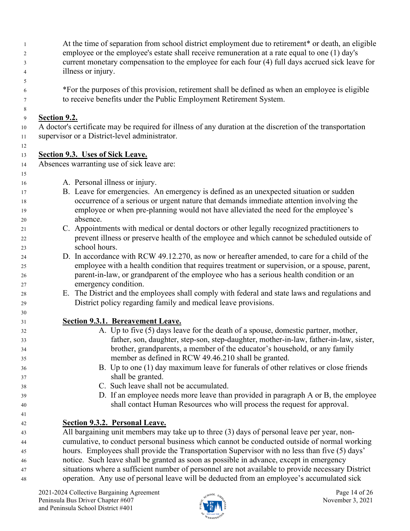At the time of separation from school district employment due to retirement\* or death, an eligible employee or the employee's estate shall receive remuneration at a rate equal to one (1) day's current monetary compensation to the employee for each four (4) full days accrued sick leave for illness or injury.

 \*For the purposes of this provision, retirement shall be defined as when an employee is eligible to receive benefits under the Public Employment Retirement System.

#### **Section 9.2.**

 A doctor's certificate may be required for illness of any duration at the discretion of the transportation supervisor or a District-level administrator.

## **Section 9.3. Uses of Sick Leave.**

Absences warranting use of sick leave are:

- A. Personal illness or injury.
- B. Leave for emergencies. An emergency is defined as an unexpected situation or sudden occurrence of a serious or urgent nature that demands immediate attention involving the employee or when pre-planning would not have alleviated the need for the employee's absence.
- C. Appointments with medical or dental doctors or other legally recognized practitioners to prevent illness or preserve health of the employee and which cannot be scheduled outside of school hours.
- D. In accordance with RCW 49.12.270, as now or hereafter amended, to care for a child of the employee with a health condition that requires treatment or supervision, or a spouse, parent, parent-in-law, or grandparent of the employee who has a serious health condition or an emergency condition.
- E. The District and the employees shall comply with federal and state laws and regulations and District policy regarding family and medical leave provisions.
- **Section 9.3.1. Bereavement Leave.**
- A. Up to five (5) days leave for the death of a spouse, domestic partner, mother, father, son, daughter, step-son, step-daughter, mother-in-law, father-in-law, sister, brother, grandparents, a member of the educator's household, or any family member as defined in [RCW 49.46.210](https://app.leg.wa.gov/rcw/default.aspx?cite=49.46.210) shall be granted.
- B. Up to one (1) day maximum leave for funerals of other relatives or close friends shall be granted.
- C. Such leave shall not be accumulated.
- D. If an employee needs more leave than provided in paragraph A or B, the employee shall contact Human Resources who will process the request for approval.
- **Section 9.3.2. Personal Leave.**

 All bargaining unit members may take up to three (3) days of personal leave per year, non- cumulative, to conduct personal business which cannot be conducted outside of normal working hours. Employees shall provide the Transportation Supervisor with no less than five (5) days' notice. Such leave shall be granted as soon as possible in advance, except in emergency situations where a sufficient number of personnel are not available to provide necessary District operation. Any use of personal leave will be deducted from an employee's accumulated sick

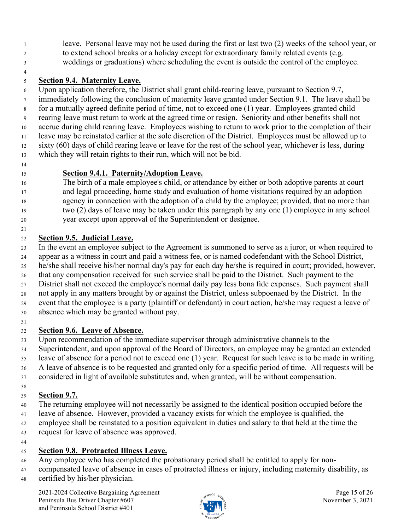leave. Personal leave may not be used during the first or last two (2) weeks of the school year, or to extend school breaks or a holiday except for extraordinary family related events (e.g. weddings or graduations) where scheduling the event is outside the control of the employee.

## **Section 9.4. Maternity Leave.**

 Upon application therefore, the District shall grant child-rearing leave, pursuant to Section 9.7, immediately following the conclusion of maternity leave granted under Section 9.1. The leave shall be for a mutually agreed definite period of time, not to exceed one (1) year. Employees granted child rearing leave must return to work at the agreed time or resign. Seniority and other benefits shall not accrue during child rearing leave. Employees wishing to return to work prior to the completion of their leave may be reinstated earlier at the sole discretion of the District. Employees must be allowed up to sixty (60) days of child rearing leave or leave for the rest of the school year, whichever is less, during which they will retain rights to their run, which will not be bid.

#### **Section 9.4.1. Paternity/Adoption Leave.**

 The birth of a male employee's child, or attendance by either or both adoptive parents at court and legal proceeding, home study and evaluation of home visitations required by an adoption agency in connection with the adoption of a child by the employee; provided, that no more than two (2) days of leave may be taken under this paragraph by any one (1) employee in any school year except upon approval of the Superintendent or designee.

## **Section 9.5. Judicial Leave.**

 In the event an employee subject to the Agreement is summoned to serve as a juror, or when required to appear as a witness in court and paid a witness fee, or is named codefendant with the School District, he/she shall receive his/her normal day's pay for each day he/she is required in court; provided, however, that any compensation received for such service shall be paid to the District. Such payment to the District shall not exceed the employee's normal daily pay less bona fide expenses. Such payment shall not apply in any matters brought by or against the District, unless subpoenaed by the District. In the event that the employee is a party (plaintiff or defendant) in court action, he/she may request a leave of absence which may be granted without pay.

## **Section 9.6. Leave of Absence.**

Upon recommendation of the immediate supervisor through administrative channels to the

Superintendent, and upon approval of the Board of Directors, an employee may be granted an extended

- leave of absence for a period not to exceed one (1) year. Request for such leave is to be made in writing.
- A leave of absence is to be requested and granted only for a specific period of time. All requests will be
- considered in light of available substitutes and, when granted, will be without compensation.

# **Section 9.7.**

- The returning employee will not necessarily be assigned to the identical position occupied before the
- leave of absence. However, provided a vacancy exists for which the employee is qualified, the
- employee shall be reinstated to a position equivalent in duties and salary to that held at the time the
- request for leave of absence was approved.

#### **Section 9.8. Protracted Illness Leave.**

- Any employee who has completed the probationary period shall be entitled to apply for non-
- compensated leave of absence in cases of protracted illness or injury, including maternity disability, as
- certified by his/her physician.

2021-2024 Collective Bargaining Agreement Page 15 of 26 Peninsula Bus Driver Chapter #607  $\frac{1}{2}$   $\frac{1}{2}$   $\frac{1}{2}$  November 3, 2021 and Peninsula School District #401

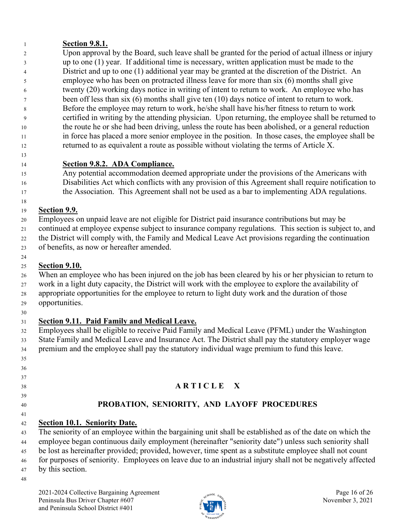## **Section 9.8.1.**

 Upon approval by the Board, such leave shall be granted for the period of actual illness or injury up to one (1) year. If additional time is necessary, written application must be made to the District and up to one (1) additional year may be granted at the discretion of the District. An employee who has been on protracted illness leave for more than six (6) months shall give twenty (20) working days notice in writing of intent to return to work. An employee who has been off less than six (6) months shall give ten (10) days notice of intent to return to work. Before the employee may return to work, he/she shall have his/her fitness to return to work certified in writing by the attending physician. Upon returning, the employee shall be returned to the route he or she had been driving, unless the route has been abolished, or a general reduction in force has placed a more senior employee in the position. In those cases, the employee shall be returned to as equivalent a route as possible without violating the terms of Article X.

#### **Section 9.8.2. ADA Compliance.**

 Any potential accommodation deemed appropriate under the provisions of the Americans with Disabilities Act which conflicts with any provision of this Agreement shall require notification to 17 the Association. This Agreement shall not be used as a bar to implementing ADA regulations.

## **Section 9.9.**

- Employees on unpaid leave are not eligible for District paid insurance contributions but may be
- continued at employee expense subject to insurance company regulations. This section is subject to, and
- the District will comply with, the Family and Medical Leave Act provisions regarding the continuation
- of benefits, as now or hereafter amended.

# **Section 9.10.**

- When an employee who has been injured on the job has been cleared by his or her physician to return to work in a light duty capacity, the District will work with the employee to explore the availability of
- appropriate opportunities for the employee to return to light duty work and the duration of those
- opportunities.
- 

# **Section 9.11. Paid Family and Medical Leave.**

- Employees shall be eligible to receive Paid Family and Medical Leave (PFML) under the Washington State Family and Medical Leave and Insurance Act. The District shall pay the statutory employer wage
- premium and the employee shall pay the statutory individual wage premium to fund this leave.
- 
- 
- **A R T I C L E X**
- 
- 

# **PROBATION, SENIORITY, AND LAYOFF PROCEDURES**

**Section 10.1. Seniority Date.**

 The seniority of an employee within the bargaining unit shall be established as of the date on which the employee began continuous daily employment (hereinafter "seniority date") unless such seniority shall

- be lost as hereinafter provided; provided, however, time spent as a substitute employee shall not count
- for purposes of seniority. Employees on leave due to an industrial injury shall not be negatively affected
- by this section.

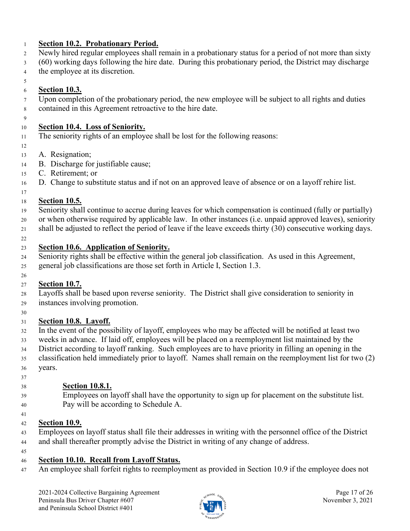#### **Section 10.2. Probationary Period.**

- Newly hired regular employees shall remain in a probationary status for a period of not more than sixty
- (60) working days following the hire date. During this probationary period, the District may discharge
- the employee at its discretion.
- **Section 10.3.**
- Upon completion of the probationary period, the new employee will be subject to all rights and duties contained in this Agreement retroactive to the hire date.
- 

## **Section 10.4. Loss of Seniority.**

- The seniority rights of an employee shall be lost for the following reasons:
- 
- A. Resignation;
- B. Discharge for justifiable cause;
- C. Retirement; or
- D. Change to substitute status and if not on an approved leave of absence or on a layoff rehire list.
- 

## **Section 10.5.**

- Seniority shall continue to accrue during leaves for which compensation is continued (fully or partially)
- or when otherwise required by applicable law. In other instances (i.e. unpaid approved leaves), seniority
- shall be adjusted to reflect the period of leave if the leave exceeds thirty (30) consecutive working days.
- 

# **Section 10.6. Application of Seniority.**

 Seniority rights shall be effective within the general job classification. As used in this Agreement, general job classifications are those set forth in Article I, Section 1.3.

#### **Section 10.7.**

- Layoffs shall be based upon reverse seniority. The District shall give consideration to seniority in instances involving promotion.
- 

# **Section 10.8. Layoff.**

- In the event of the possibility of layoff, employees who may be affected will be notified at least two weeks in advance. If laid off, employees will be placed on a reemployment list maintained by the
- 
- District according to layoff ranking. Such employees are to have priority in filling an opening in the classification held immediately prior to layoff. Names shall remain on the reemployment list for two (2)
- years.
- 

# **Section 10.8.1.**

- Employees on layoff shall have the opportunity to sign up for placement on the substitute list. Pay will be according to Schedule A.
- 

# **Section 10.9.**

- Employees on layoff status shall file their addresses in writing with the personnel office of the District 44 and shall thereafter promptly advise the District in writing of any change of address.
- 

# **Section 10.10. Recall from Layoff Status.**

An employee shall forfeit rights to reemployment as provided in Section 10.9 if the employee does not

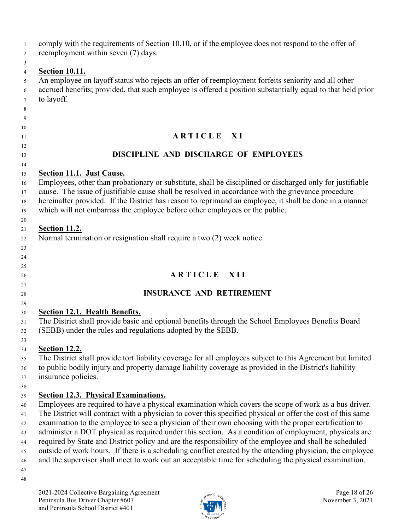| $\mathbf{1}$<br>2 | comply with the requirements of Section 10.10, or if the employee does not respond to the offer of<br>reemployment within seven (7) days.                         |
|-------------------|-------------------------------------------------------------------------------------------------------------------------------------------------------------------|
| 3                 |                                                                                                                                                                   |
| $\overline{4}$    | <b>Section 10.11.</b>                                                                                                                                             |
| 5                 | An employee on layoff status who rejects an offer of reemployment forfeits seniority and all other                                                                |
| 6                 | accrued benefits; provided, that such employee is offered a position substantially equal to that held prior                                                       |
| 7                 | to layoff.                                                                                                                                                        |
| 8                 |                                                                                                                                                                   |
| 9                 |                                                                                                                                                                   |
| 10<br>11          | ARTICLE XI                                                                                                                                                        |
| 12                |                                                                                                                                                                   |
| 13                | DISCIPLINE AND DISCHARGE OF EMPLOYEES                                                                                                                             |
| 14                |                                                                                                                                                                   |
| 15                | <b>Section 11.1. Just Cause.</b><br>Employees, other than probationary or substitute, shall be disciplined or discharged only for justifiable                     |
| 16<br>17          | cause. The issue of justifiable cause shall be resolved in accordance with the grievance procedure                                                                |
| 18                | hereinafter provided. If the District has reason to reprimand an employee, it shall be done in a manner                                                           |
| 19                | which will not embarrass the employee before other employees or the public.                                                                                       |
| 20                |                                                                                                                                                                   |
| 21                | <b>Section 11.2.</b>                                                                                                                                              |
| 22                | Normal termination or resignation shall require a two (2) week notice.                                                                                            |
| 23                |                                                                                                                                                                   |
| 24                |                                                                                                                                                                   |
| 25                |                                                                                                                                                                   |
| 26                | ARTICLE XII                                                                                                                                                       |
| 27                |                                                                                                                                                                   |
| 28                | <b>INSURANCE AND RETIREMENT</b>                                                                                                                                   |
| 29                |                                                                                                                                                                   |
| 30                | <b>Section 12.1. Health Benefits.</b>                                                                                                                             |
| 31                | The District shall provide basic and optional benefits through the School Employees Benefits Board<br>(SEBB) under the rules and regulations adopted by the SEBB. |
| 32                |                                                                                                                                                                   |
| 33<br>34          | <b>Section 12.2.</b>                                                                                                                                              |
| 35                | The District shall provide tort liability coverage for all employees subject to this Agreement but limited                                                        |
| $36\,$            | to public bodily injury and property damage liability coverage as provided in the District's liability                                                            |
| 37                | insurance policies.                                                                                                                                               |
| 38                |                                                                                                                                                                   |
| 39                | <b>Section 12.3. Physical Examinations.</b>                                                                                                                       |
| 40                | Employees are required to have a physical examination which covers the scope of work as a bus driver.                                                             |
| 41                | The District will contract with a physician to cover this specified physical or offer the cost of this same                                                       |
| 42                | examination to the employee to see a physician of their own choosing with the proper certification to                                                             |
| 43                | administer a DOT physical as required under this section. As a condition of employment, physicals are                                                             |
| 44                | required by State and District policy and are the responsibility of the employee and shall be scheduled                                                           |
| 45                | outside of work hours. If there is a scheduling conflict created by the attending physician, the employee                                                         |
| 46                | and the supervisor shall meet to work out an acceptable time for scheduling the physical examination.                                                             |
| 47                |                                                                                                                                                                   |
| 48                |                                                                                                                                                                   |

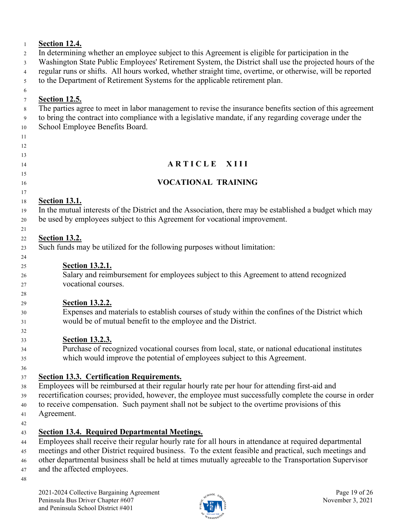#### **Section 12.4.**

In determining whether an employee subject to this Agreement is eligible for participation in the

Washington State Public Employees' Retirement System, the District shall use the projected hours of the

regular runs or shifts. All hours worked, whether straight time, overtime, or otherwise, will be reported

to the Department of Retirement Systems for the applicable retirement plan.

# **Section 12.5.**

The parties agree to meet in labor management to revise the insurance benefits section of this agreement

 to bring the contract into compliance with a legislative mandate, if any regarding coverage under the School Employee Benefits Board.

# 

- 
- **ARTICLE XIII**

# 

- **VOCATIONAL TRAINING**
- 
- 
- 
- 

- 
- 
- 

**Section 13.1.**

 In the mutual interests of the District and the Association, there may be established a budget which may be used by employees subject to this Agreement for vocational improvement.

#### **Section 13.2.**

Such funds may be utilized for the following purposes without limitation:

**Section 13.2.1.**

 Salary and reimbursement for employees subject to this Agreement to attend recognized vocational courses.

# **Section 13.2.2.**

 Expenses and materials to establish courses of study within the confines of the District which would be of mutual benefit to the employee and the District.

# **Section 13.2.3.**

 Purchase of recognized vocational courses from local, state, or national educational institutes which would improve the potential of employees subject to this Agreement.

# **Section 13.3. Certification Requirements.**

Employees will be reimbursed at their regular hourly rate per hour for attending first-aid and

recertification courses; provided, however, the employee must successfully complete the course in order

- to receive compensation. Such payment shall not be subject to the overtime provisions of this
- Agreement.

# **Section 13.4. Required Departmental Meetings.**

Employees shall receive their regular hourly rate for all hours in attendance at required departmental

meetings and other District required business. To the extent feasible and practical, such meetings and

other departmental business shall be held at times mutually agreeable to the Transportation Supervisor

- and the affected employees.
- 

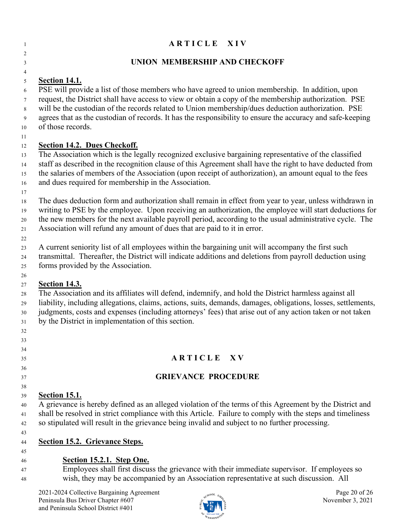| ARTICLE XIV                                                                                                                                                                                              |
|----------------------------------------------------------------------------------------------------------------------------------------------------------------------------------------------------------|
| UNION MEMBERSHIP AND CHECKOFF                                                                                                                                                                            |
|                                                                                                                                                                                                          |
| <b>Section 14.1.</b>                                                                                                                                                                                     |
| PSE will provide a list of those members who have agreed to union membership. In addition, upon<br>request, the District shall have access to view or obtain a copy of the membership authorization. PSE |
| will be the custodian of the records related to Union membership/dues deduction authorization. PSE                                                                                                       |
| agrees that as the custodian of records. It has the responsibility to ensure the accuracy and safe-keeping<br>of those records.                                                                          |
| <b>Section 14.2. Dues Checkoff.</b>                                                                                                                                                                      |
| The Association which is the legally recognized exclusive bargaining representative of the classified                                                                                                    |
| staff as described in the recognition clause of this Agreement shall have the right to have deducted from                                                                                                |
| the salaries of members of the Association (upon receipt of authorization), an amount equal to the fees                                                                                                  |
| and dues required for membership in the Association.                                                                                                                                                     |
|                                                                                                                                                                                                          |
| The dues deduction form and authorization shall remain in effect from year to year, unless withdrawn in                                                                                                  |
| writing to PSE by the employee. Upon receiving an authorization, the employee will start deductions for                                                                                                  |
| the new members for the next available payroll period, according to the usual administrative cycle. The                                                                                                  |
| Association will refund any amount of dues that are paid to it in error.                                                                                                                                 |
| A current seniority list of all employees within the bargaining unit will accompany the first such                                                                                                       |
| transmittal. Thereafter, the District will indicate additions and deletions from payroll deduction using                                                                                                 |
| forms provided by the Association.                                                                                                                                                                       |
|                                                                                                                                                                                                          |
| <b>Section 14.3.</b>                                                                                                                                                                                     |
| The Association and its affiliates will defend, indemnify, and hold the District harmless against all                                                                                                    |
| liability, including allegations, claims, actions, suits, demands, damages, obligations, losses, settlements,                                                                                            |
| judgments, costs and expenses (including attorneys' fees) that arise out of any action taken or not taken                                                                                                |
| by the District in implementation of this section.                                                                                                                                                       |
|                                                                                                                                                                                                          |
|                                                                                                                                                                                                          |
| ARTICLE XV                                                                                                                                                                                               |
|                                                                                                                                                                                                          |
| <b>GRIEVANCE PROCEDURE</b>                                                                                                                                                                               |
|                                                                                                                                                                                                          |
| <b>Section 15.1.</b>                                                                                                                                                                                     |
| A grievance is hereby defined as an alleged violation of the terms of this Agreement by the District and                                                                                                 |
| shall be resolved in strict compliance with this Article. Failure to comply with the steps and timeliness                                                                                                |
| so stipulated will result in the grievance being invalid and subject to no further processing.                                                                                                           |
|                                                                                                                                                                                                          |
| <b>Section 15.2. Grievance Steps.</b>                                                                                                                                                                    |
| Section 15.2.1. Step One.                                                                                                                                                                                |
| Employees shall first discuss the grievance with their immediate supervisor. If employees so                                                                                                             |
| wish, they may be accompanied by an Association representative at such discussion. All                                                                                                                   |
|                                                                                                                                                                                                          |
| Page 20 of 26<br>2021-2024 Collective Bargaining Agreement<br>Peninsula Bus Driver Chapter #607<br>November 3, 2021                                                                                      |

SEU LOCAL 1948

and Peninsula School District #401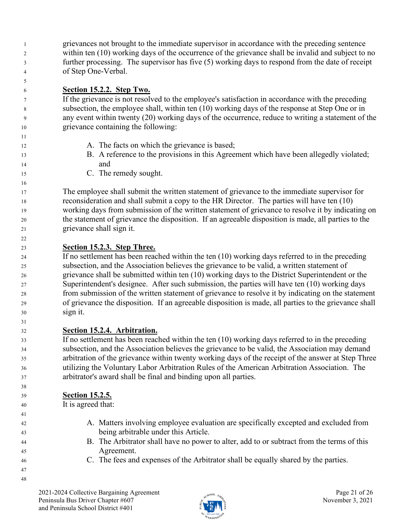grievances not brought to the immediate supervisor in accordance with the preceding sentence within ten (10) working days of the occurrence of the grievance shall be invalid and subject to no further processing. The supervisor has five (5) working days to respond from the date of receipt of Step One-Verbal.

## **Section 15.2.2. Step Two.**

 If the grievance is not resolved to the employee's satisfaction in accordance with the preceding subsection, the employee shall, within ten (10) working days of the response at Step One or in any event within twenty (20) working days of the occurrence, reduce to writing a statement of the grievance containing the following:

- 12 A. The facts on which the grievance is based;
- B. A reference to the provisions in this Agreement which have been allegedly violated; and
- C. The remedy sought.

 The employee shall submit the written statement of grievance to the immediate supervisor for reconsideration and shall submit a copy to the HR Director. The parties will have ten (10) working days from submission of the written statement of grievance to resolve it by indicating on the statement of grievance the disposition. If an agreeable disposition is made, all parties to the grievance shall sign it.

# **Section 15.2.3. Step Three.**

 If no settlement has been reached within the ten (10) working days referred to in the preceding subsection, and the Association believes the grievance to be valid, a written statement of grievance shall be submitted within ten (10) working days to the District Superintendent or the Superintendent's designee. After such submission, the parties will have ten (10) working days from submission of the written statement of grievance to resolve it by indicating on the statement of grievance the disposition. If an agreeable disposition is made, all parties to the grievance shall sign it.

# **Section 15.2.4. Arbitration.**

 If no settlement has been reached within the ten (10) working days referred to in the preceding subsection, and the Association believes the grievance to be valid, the Association may demand arbitration of the grievance within twenty working days of the receipt of the answer at Step Three utilizing the Voluntary Labor Arbitration Rules of the American Arbitration Association. The arbitrator's award shall be final and binding upon all parties.

## **Section 15.2.5.**

It is agreed that:

- A. Matters involving employee evaluation are specifically excepted and excluded from being arbitrable under this Article.
- B. The Arbitrator shall have no power to alter, add to or subtract from the terms of this Agreement.
- C. The fees and expenses of the Arbitrator shall be equally shared by the parties.

 

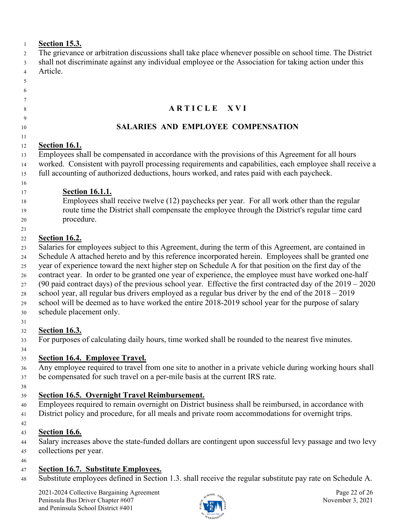| $\mathbf{1}$   | <b>Section 15.3.</b>                                                                                                |
|----------------|---------------------------------------------------------------------------------------------------------------------|
| 2              | The grievance or arbitration discussions shall take place whenever possible on school time. The District            |
| 3              | shall not discriminate against any individual employee or the Association for taking action under this              |
| $\overline{4}$ | Article.                                                                                                            |
| 5              |                                                                                                                     |
| 6              |                                                                                                                     |
| 7              |                                                                                                                     |
| 8              | ARTICLE XVI                                                                                                         |
| 9<br>10        | SALARIES AND EMPLOYEE COMPENSATION                                                                                  |
| 11             |                                                                                                                     |
| 12             | <b>Section 16.1.</b>                                                                                                |
| 13             | Employees shall be compensated in accordance with the provisions of this Agreement for all hours                    |
| 14             | worked. Consistent with payroll processing requirements and capabilities, each employee shall receive a             |
| 15             | full accounting of authorized deductions, hours worked, and rates paid with each paycheck.                          |
| 16             |                                                                                                                     |
|                | <b>Section 16.1.1.</b>                                                                                              |
| 17             | Employees shall receive twelve (12) paychecks per year. For all work other than the regular                         |
| 18             | route time the District shall compensate the employee through the District's regular time card                      |
| 19             |                                                                                                                     |
| $20\,$         | procedure.                                                                                                          |
| 21             |                                                                                                                     |
| 22             | <b>Section 16.2.</b>                                                                                                |
| 23             | Salaries for employees subject to this Agreement, during the term of this Agreement, are contained in               |
| 24             | Schedule A attached hereto and by this reference incorporated herein. Employees shall be granted one                |
| 25             | year of experience toward the next higher step on Schedule A for that position on the first day of the              |
| 26             | contract year. In order to be granted one year of experience, the employee must have worked one-half                |
| 27             | (90 paid contract days) of the previous school year. Effective the first contracted day of the $2019 - 2020$        |
| $28\,$         | school year, all regular bus drivers employed as a regular bus driver by the end of the $2018 - 2019$               |
| 29             | school will be deemed as to have worked the entire 2018-2019 school year for the purpose of salary                  |
| 30             | schedule placement only.                                                                                            |
| 31             |                                                                                                                     |
| 32             | <b>Section 16.3.</b>                                                                                                |
| 33             | For purposes of calculating daily hours, time worked shall be rounded to the nearest five minutes.                  |
| 34             |                                                                                                                     |
|                | <b>Section 16.4. Employee Travel.</b>                                                                               |
| 35             |                                                                                                                     |
| 36             | Any employee required to travel from one site to another in a private vehicle during working hours shall            |
| 37             | be compensated for such travel on a per-mile basis at the current IRS rate.                                         |
| 38             |                                                                                                                     |
| 39             | <b>Section 16.5. Overnight Travel Reimbursement.</b>                                                                |
| 40             | Employees required to remain overnight on District business shall be reimbursed, in accordance with                 |
| 41             | District policy and procedure, for all meals and private room accommodations for overnight trips.                   |
| 42             |                                                                                                                     |
| 43             | <b>Section 16.6.</b>                                                                                                |
| 44             | Salary increases above the state-funded dollars are contingent upon successful levy passage and two levy            |
| 45             | collections per year.                                                                                               |
| 46             |                                                                                                                     |
| 47             | <b>Section 16.7. Substitute Employees.</b>                                                                          |
| 48             | Substitute employees defined in Section 1.3. shall receive the regular substitute pay rate on Schedule A.           |
|                |                                                                                                                     |
|                | 2021-2024 Collective Bargaining Agreement<br>Page 22 of 26<br>Peninsula Bus Driver Chapter #607<br>November 3, 2021 |
|                | and Peninsula School District #401                                                                                  |
|                |                                                                                                                     |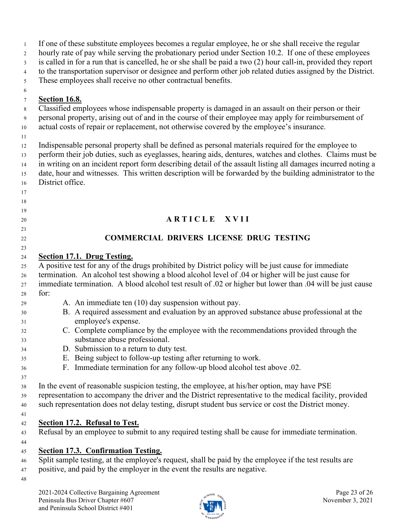| $\mathbf{1}$<br>$\overline{2}$ | If one of these substitute employees becomes a regular employee, he or she shall receive the regular<br>hourly rate of pay while serving the probationary period under Section 10.2. If one of these employees |
|--------------------------------|----------------------------------------------------------------------------------------------------------------------------------------------------------------------------------------------------------------|
|                                | is called in for a run that is cancelled, he or she shall be paid a two (2) hour call-in, provided they report                                                                                                 |
| $\mathfrak{Z}$                 | to the transportation supervisor or designee and perform other job related duties assigned by the District.                                                                                                    |
| $\overline{4}$                 | These employees shall receive no other contractual benefits.                                                                                                                                                   |
| 5                              |                                                                                                                                                                                                                |
| 6                              |                                                                                                                                                                                                                |
| $\tau$                         | <b>Section 16.8.</b><br>Classified employees whose indispensable property is damaged in an assault on their person or their                                                                                    |
| 8                              | personal property, arising out of and in the course of their employee may apply for reimbursement of                                                                                                           |
| 9<br>$10\,$                    | actual costs of repair or replacement, not otherwise covered by the employee's insurance.                                                                                                                      |
| 11                             |                                                                                                                                                                                                                |
| 12                             | Indispensable personal property shall be defined as personal materials required for the employee to                                                                                                            |
| 13                             | perform their job duties, such as eyeglasses, hearing aids, dentures, watches and clothes. Claims must be                                                                                                      |
| 14                             | in writing on an incident report form describing detail of the assault listing all damages incurred noting a                                                                                                   |
| 15                             | date, hour and witnesses. This written description will be forwarded by the building administrator to the                                                                                                      |
| 16                             | District office.                                                                                                                                                                                               |
| 17                             |                                                                                                                                                                                                                |
| 18                             |                                                                                                                                                                                                                |
| 19                             |                                                                                                                                                                                                                |
| 20                             | <b>ARTICLE</b><br><b>XVII</b>                                                                                                                                                                                  |
| 21                             |                                                                                                                                                                                                                |
| $22\,$                         | <b>COMMERCIAL DRIVERS LICENSE DRUG TESTING</b>                                                                                                                                                                 |
| 23                             |                                                                                                                                                                                                                |
| 24                             | Section 17.1. Drug Testing.                                                                                                                                                                                    |
| 25                             | A positive test for any of the drugs prohibited by District policy will be just cause for immediate                                                                                                            |
| $26\,$                         | termination. An alcohol test showing a blood alcohol level of .04 or higher will be just cause for                                                                                                             |
| 27                             | immediate termination. A blood alcohol test result of .02 or higher but lower than .04 will be just cause                                                                                                      |
| 28                             | for:                                                                                                                                                                                                           |
| 29                             | A. An immediate ten (10) day suspension without pay.                                                                                                                                                           |
| 30                             | B. A required assessment and evaluation by an approved substance abuse professional at the                                                                                                                     |
| 31                             | employee's expense.                                                                                                                                                                                            |
| 32                             | C. Complete compliance by the employee with the recommendations provided through the                                                                                                                           |
| 33                             | substance abuse professional.                                                                                                                                                                                  |
| 34                             | D. Submission to a return to duty test.                                                                                                                                                                        |
| 35                             | E. Being subject to follow-up testing after returning to work.                                                                                                                                                 |
| 36                             | F. Immediate termination for any follow-up blood alcohol test above .02.                                                                                                                                       |
| 37                             |                                                                                                                                                                                                                |
| 38                             | In the event of reasonable suspicion testing, the employee, at his/her option, may have PSE                                                                                                                    |
| 39                             | representation to accompany the driver and the District representative to the medical facility, provided                                                                                                       |
| 40                             | such representation does not delay testing, disrupt student bus service or cost the District money.                                                                                                            |
| 41                             |                                                                                                                                                                                                                |
| 42                             | <b>Section 17.2. Refusal to Test.</b>                                                                                                                                                                          |
| 43                             | Refusal by an employee to submit to any required testing shall be cause for immediate termination.                                                                                                             |
| 44                             |                                                                                                                                                                                                                |
| 45                             | <b>Section 17.3. Confirmation Testing.</b>                                                                                                                                                                     |
| 46                             | Split sample testing, at the employee's request, shall be paid by the employee if the test results are                                                                                                         |
| 47                             | positive, and paid by the employer in the event the results are negative.                                                                                                                                      |
| 48                             |                                                                                                                                                                                                                |
|                                |                                                                                                                                                                                                                |
|                                | 2021-2024 Collective Bargaining Agreement<br>Page 23 of 26<br>$\mathcal{H}^{00L}$ $\varepsilon_{\lambda}$                                                                                                      |

Peninsula Bus Driver Chapter #607  $\frac{1}{2}$  November 3, 2021

WASHING

and Peninsula School District #401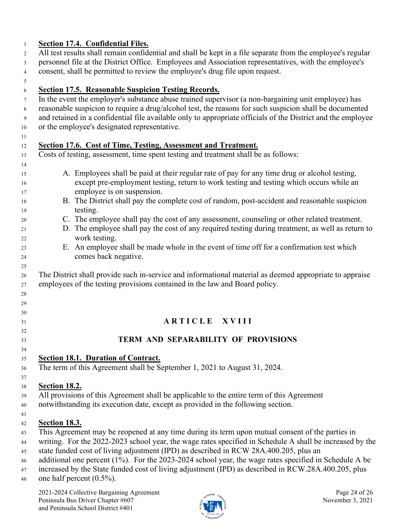#### **Section 17.4. Confidential Files.**

 All test results shall remain confidential and shall be kept in a file separate from the employee's regular personnel file at the District Office. Employees and Association representatives, with the employee's consent, shall be permitted to review the employee's drug file upon request.

#### **Section 17.5. Reasonable Suspicion Testing Records.**

In the event the employer's substance abuse trained supervisor (a non-bargaining unit employee) has

- reasonable suspicion to require a drug/alcohol test, the reasons for such suspicion shall be documented
- and retained in a confidential file available only to appropriate officials of the District and the employee or the employee's designated representative.
- 

 

## **Section 17.6. Cost of Time, Testing, Assessment and Treatment.**

Costs of testing, assessment, time spent testing and treatment shall be as follows:

- A. Employees shall be paid at their regular rate of pay for any time drug or alcohol testing, except pre-employment testing, return to work testing and testing which occurs while an employee is on suspension.
- B. The District shall pay the complete cost of random, post-accident and reasonable suspicion testing.
- C. The employee shall pay the cost of any assessment, counseling or other related treatment.
- D. The employee shall pay the cost of any required testing during treatment, as well as return to work testing.
- E. An employee shall be made whole in the event of time off for a confirmation test which comes back negative.

 The District shall provide such in-service and informational material as deemed appropriate to appraise employees of the testing provisions contained in the law and Board policy.

# **A R T I C L E X V I I I**

## **TERM AND SEPARABILITY OF PROVISIONS**

**Section 18.1. Duration of Contract.**

The term of this Agreement shall be September 1, 2021 to August 31, 2024.

#### **Section 18.2.**

All provisions of this Agreement shall be applicable to the entire term of this Agreement

- notwithstanding its execution date, except as provided in the following section.
- 

#### **Section 18.3.**

This Agreement may be reopened at any time during its term upon mutual consent of the parties in

writing. For the 2022-2023 school year, the wage rates specified in Schedule A shall be increased by the

state funded cost of living adjustment (IPD) as described in RCW 28A.400.205, plus an

- additional one percent (1%). For the 2023-2024 school year, the wage rates specified in Schedule A be
- increased by the State funded cost of living adjustment (IPD) as described in RCW.28A.400.205, plus

one half percent (0.5%).

2021-2024 Collective Bargaining Agreement and the same page 24 of 26 Peninsula Bus Driver Chapter #607  $\frac{1}{2}$   $\frac{1}{2}$   $\frac{1}{2}$  November 3, 2021 and Peninsula School District #401

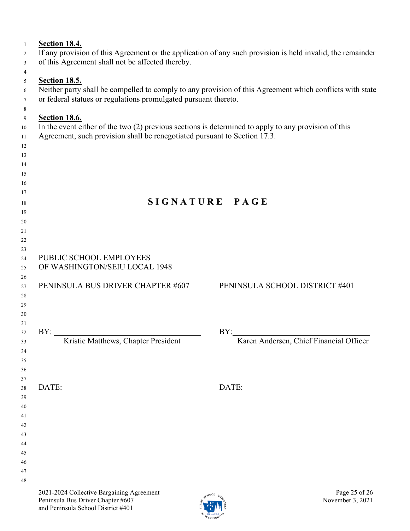| $\mathbf{1}$ | <b>Section 18.4.</b>                                                                                   |                                                                                                            |  |  |  |  |  |  |
|--------------|--------------------------------------------------------------------------------------------------------|------------------------------------------------------------------------------------------------------------|--|--|--|--|--|--|
| 2            |                                                                                                        | If any provision of this Agreement or the application of any such provision is held invalid, the remainder |  |  |  |  |  |  |
| 3            | of this Agreement shall not be affected thereby.                                                       |                                                                                                            |  |  |  |  |  |  |
| 4            |                                                                                                        |                                                                                                            |  |  |  |  |  |  |
| 5            | <b>Section 18.5.</b>                                                                                   |                                                                                                            |  |  |  |  |  |  |
| 6            |                                                                                                        | Neither party shall be compelled to comply to any provision of this Agreement which conflicts with state   |  |  |  |  |  |  |
| 7<br>8       | or federal statues or regulations promulgated pursuant thereto.                                        |                                                                                                            |  |  |  |  |  |  |
| 9            | <b>Section 18.6.</b>                                                                                   |                                                                                                            |  |  |  |  |  |  |
| 10           | In the event either of the two $(2)$ previous sections is determined to apply to any provision of this |                                                                                                            |  |  |  |  |  |  |
| 11           | Agreement, such provision shall be renegotiated pursuant to Section 17.3.                              |                                                                                                            |  |  |  |  |  |  |
| 12           |                                                                                                        |                                                                                                            |  |  |  |  |  |  |
| 13           |                                                                                                        |                                                                                                            |  |  |  |  |  |  |
| 14<br>15     |                                                                                                        |                                                                                                            |  |  |  |  |  |  |
| 16           |                                                                                                        |                                                                                                            |  |  |  |  |  |  |
| 17           |                                                                                                        |                                                                                                            |  |  |  |  |  |  |
| 18           |                                                                                                        | SIGNATURE PAGE                                                                                             |  |  |  |  |  |  |
| 19           |                                                                                                        |                                                                                                            |  |  |  |  |  |  |
| 20           |                                                                                                        |                                                                                                            |  |  |  |  |  |  |
| 21           |                                                                                                        |                                                                                                            |  |  |  |  |  |  |
| 22<br>23     |                                                                                                        |                                                                                                            |  |  |  |  |  |  |
| 24           | PUBLIC SCHOOL EMPLOYEES                                                                                |                                                                                                            |  |  |  |  |  |  |
| 25           | OF WASHINGTON/SEIU LOCAL 1948                                                                          |                                                                                                            |  |  |  |  |  |  |
| 26           |                                                                                                        |                                                                                                            |  |  |  |  |  |  |
| $27\,$       | PENINSULA BUS DRIVER CHAPTER #607                                                                      | PENINSULA SCHOOL DISTRICT #401                                                                             |  |  |  |  |  |  |
| 28           |                                                                                                        |                                                                                                            |  |  |  |  |  |  |
| 29<br>30     |                                                                                                        |                                                                                                            |  |  |  |  |  |  |
| 31           |                                                                                                        |                                                                                                            |  |  |  |  |  |  |
| 32           | BY:                                                                                                    | BY:                                                                                                        |  |  |  |  |  |  |
| 33           | Kristie Matthews, Chapter President                                                                    | Karen Andersen, Chief Financial Officer                                                                    |  |  |  |  |  |  |
| 34           |                                                                                                        |                                                                                                            |  |  |  |  |  |  |
| 35           |                                                                                                        |                                                                                                            |  |  |  |  |  |  |
| 36<br>37     |                                                                                                        |                                                                                                            |  |  |  |  |  |  |
| 38           |                                                                                                        |                                                                                                            |  |  |  |  |  |  |
| 39           |                                                                                                        |                                                                                                            |  |  |  |  |  |  |
| 40           |                                                                                                        |                                                                                                            |  |  |  |  |  |  |
| 41           |                                                                                                        |                                                                                                            |  |  |  |  |  |  |
| 42<br>43     |                                                                                                        |                                                                                                            |  |  |  |  |  |  |
| 44           |                                                                                                        |                                                                                                            |  |  |  |  |  |  |
| 45           |                                                                                                        |                                                                                                            |  |  |  |  |  |  |
| 46           |                                                                                                        |                                                                                                            |  |  |  |  |  |  |
| 47           |                                                                                                        |                                                                                                            |  |  |  |  |  |  |
| 48           |                                                                                                        |                                                                                                            |  |  |  |  |  |  |